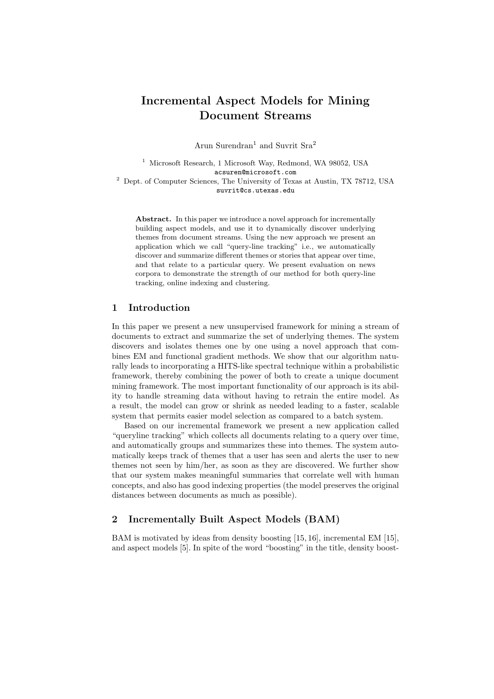# Incremental Aspect Models for Mining Document Streams

Arun Surendran<sup>1</sup> and Suvrit Sra<sup>2</sup>

<sup>1</sup> Microsoft Research, 1 Microsoft Way, Redmond, WA 98052, USA acsuren@microsoft.com

<sup>2</sup> Dept. of Computer Sciences, The University of Texas at Austin, TX 78712, USA suvrit@cs.utexas.edu

Abstract. In this paper we introduce a novel approach for incrementally building aspect models, and use it to dynamically discover underlying themes from document streams. Using the new approach we present an application which we call "query-line tracking" i.e., we automatically discover and summarize different themes or stories that appear over time, and that relate to a particular query. We present evaluation on news corpora to demonstrate the strength of our method for both query-line tracking, online indexing and clustering.

# 1 Introduction

In this paper we present a new unsupervised framework for mining a stream of documents to extract and summarize the set of underlying themes. The system discovers and isolates themes one by one using a novel approach that combines EM and functional gradient methods. We show that our algorithm naturally leads to incorporating a HITS-like spectral technique within a probabilistic framework, thereby combining the power of both to create a unique document mining framework. The most important functionality of our approach is its ability to handle streaming data without having to retrain the entire model. As a result, the model can grow or shrink as needed leading to a faster, scalable system that permits easier model selection as compared to a batch system.

Based on our incremental framework we present a new application called "queryline tracking" which collects all documents relating to a query over time, and automatically groups and summarizes these into themes. The system automatically keeps track of themes that a user has seen and alerts the user to new themes not seen by him/her, as soon as they are discovered. We further show that our system makes meaningful summaries that correlate well with human concepts, and also has good indexing properties (the model preserves the original distances between documents as much as possible).

## 2 Incrementally Built Aspect Models (BAM)

BAM is motivated by ideas from density boosting [15, 16], incremental EM [15], and aspect models [5]. In spite of the word "boosting" in the title, density boost-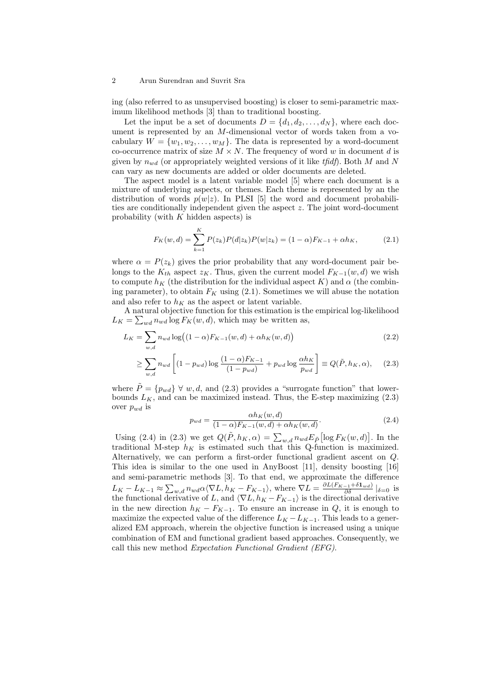#### 2 Arun Surendran and Suvrit Sra

ing (also referred to as unsupervised boosting) is closer to semi-parametric maximum likelihood methods [3] than to traditional boosting.

Let the input be a set of documents  $D = \{d_1, d_2, \ldots, d_N\}$ , where each document is represented by an M-dimensional vector of words taken from a vocabulary  $W = \{w_1, w_2, \ldots, w_M\}$ . The data is represented by a word-document co-occurrence matrix of size  $M \times N$ . The frequency of word w in document d is given by  $n_{wd}$  (or appropriately weighted versions of it like tfidf). Both M and N can vary as new documents are added or older documents are deleted.

The aspect model is a latent variable model [5] where each document is a mixture of underlying aspects, or themes. Each theme is represented by an the distribution of words  $p(w|z)$ . In PLSI [5] the word and document probabilities are conditionally independent given the aspect z. The joint word-document probability (with  $K$  hidden aspects) is

$$
F_K(w,d) = \sum_{k=1}^{K} P(z_k)P(d|z_k)P(w|z_k) = (1-\alpha)F_{K-1} + \alpha h_K, \qquad (2.1)
$$

where  $\alpha = P(z_k)$  gives the prior probability that any word-document pair belongs to the  $K_{th}$  aspect  $z_K$ . Thus, given the current model  $F_{K-1}(w, d)$  we wish to compute  $h_K$  (the distribution for the individual aspect K) and  $\alpha$  (the combining parameter), to obtain  $F_K$  using (2.1). Sometimes we will abuse the notation and also refer to  $h_K$  as the aspect or latent variable.

A natural objective function for this estimation is the empirical log-likelihood P  $L_K = \sum_{wd} n_{wd} \log F_K(w, d)$ , which may be written as,

$$
L_K = \sum_{w,d} n_{wd} \log((1-\alpha)F_{K-1}(w,d) + \alpha h_K(w,d))
$$
\n(2.2)

$$
\geq \sum_{w,d} n_{wd} \left[ (1 - p_{wd}) \log \frac{(1 - \alpha) F_{K-1}}{(1 - p_{wd})} + p_{wd} \log \frac{\alpha h_K}{p_{wd}} \right] \equiv Q(\tilde{P}, h_K, \alpha), \quad (2.3)
$$

where  $\tilde{P} = \{p_{wd}\} \forall w, d$ , and (2.3) provides a "surrogate function" that lowerbounds  $L_K$ , and can be maximized instead. Thus, the E-step maximizing  $(2.3)$ over  $p_{wd}$  is

$$
p_{wd} = \frac{\alpha h_K(w, d)}{(1 - \alpha) F_{K-1}(w, d) + \alpha h_K(w, d)}.
$$
\n
$$
(2.4)
$$

Using (2.4) in (2.3) we get  $Q(\tilde{P}, h_K, \alpha) = \sum_{w,d} n_{wd} E_{\tilde{P}}$  $log F_K(w, d)$ . In the traditional M-step  $h_K$  is estimated such that this Q-function is maximized. Alternatively, we can perform a first-order functional gradient ascent on Q. This idea is similar to the one used in AnyBoost [11], density boosting [16] and semi-parametric methods [3]. To that end, we approximate the difference  $L_K - L_{K-1} \approx \sum_{w,d} n_{wd} \alpha \langle \nabla L, h_K - F_{K-1} \rangle$ , where  $\nabla L = \frac{\partial L(F_{K-1} + \delta \mathbf{1}_{wd})}{\partial \delta} |_{\delta=0}$  is the functional derivative of L, and  $\langle \nabla L, h_K - F_{K-1} \rangle$  is the directional derivative in the new direction  $h_K - F_{K-1}$ . To ensure an increase in Q, it is enough to maximize the expected value of the difference  $L_K - L_{K-1}$ . This leads to a generalized EM approach, wherein the objective function is increased using a unique combination of EM and functional gradient based approaches. Consequently, we call this new method Expectation Functional Gradient (EFG).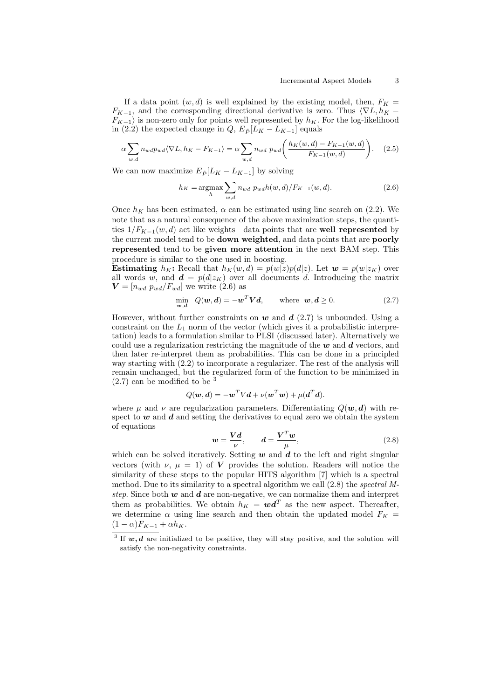If a data point  $(w, d)$  is well explained by the existing model, then,  $F_K =$  $F_{K-1}$ , and the corresponding directional derivative is zero. Thus  $\langle \nabla L, h_K \rangle$  $F_{K-1}$  is non-zero only for points well represented by  $h_K$ . For the log-likelihood in (2.2) the expected change in  $Q$ ,  $E_{\tilde{P}}[L_K - L_{K-1}]$  equals

$$
\alpha \sum_{w,d} n_{wd} p_{wd} \langle \nabla L, h_K - F_{K-1} \rangle = \alpha \sum_{w,d} n_{wd} p_{wd} \left( \frac{h_K(w,d) - F_{K-1}(w,d)}{F_{K-1}(w,d)} \right). \tag{2.5}
$$

We can now maximize  $E_{\tilde{P}}[L_K - L_{K-1}]$  by solving

$$
h_K = \underset{h}{\text{argmax}} \sum_{w,d} n_{wd} \ p_{wd} h(w,d) / F_{K-1}(w,d). \tag{2.6}
$$

Once  $h_K$  has been estimated,  $\alpha$  can be estimated using line search on (2.2). We note that as a natural consequence of the above maximization steps, the quantities  $1/F_{K-1}(w, d)$  act like weights—data points that are well represented by the current model tend to be **down weighted**, and data points that are **poorly** represented tend to be given more attention in the next BAM step. This procedure is similar to the one used in boosting.

**Estimating**  $h_K$ : Recall that  $h_K(w, d) = p(w|z)p(d|z)$ . Let  $w = p(w|z_K)$  over all words w, and  $\mathbf{d} = p(d|z_K)$  over all documents d. Introducing the matrix  $\mathbf{V} = [n_{wd} \ p_{wd}/F_{wd}]$  we write (2.6) as

$$
\min_{\mathbf{w}, \mathbf{d}} Q(\mathbf{w}, \mathbf{d}) = -\mathbf{w}^T \mathbf{V} \mathbf{d}, \qquad \text{where } \mathbf{w}, \mathbf{d} \ge 0.
$$
 (2.7)

However, without further constraints on  $w$  and  $d$  (2.7) is unbounded. Using a constraint on the  $L_1$  norm of the vector (which gives it a probabilistic interpretation) leads to a formulation similar to PLSI (discussed later). Alternatively we could use a regularization restricting the magnitude of the  $w$  and  $d$  vectors, and then later re-interpret them as probabilities. This can be done in a principled way starting with (2.2) to incorporate a regularizer. The rest of the analysis will remain unchanged, but the regularized form of the function to be minimized in  $(2.7)$  can be modified to be <sup>3</sup>

$$
Q(\boldsymbol{w}, \boldsymbol{d}) = -\boldsymbol{w}^T V \boldsymbol{d} + \nu (\boldsymbol{w}^T \boldsymbol{w}) + \mu (\boldsymbol{d}^T \boldsymbol{d}).
$$

where  $\mu$  and  $\nu$  are regularization parameters. Differentiating  $Q(\boldsymbol{w}, \boldsymbol{d})$  with respect to  $w$  and  $d$  and setting the derivatives to equal zero we obtain the system of equations

$$
w = \frac{Vd}{\nu}, \qquad d = \frac{V^T w}{\mu}, \tag{2.8}
$$

which can be solved iteratively. Setting  $w$  and  $d$  to the left and right singular vectors (with  $\nu, \mu = 1$ ) of V provides the solution. Readers will notice the similarity of these steps to the popular HITS algorithm [7] which is a spectral method. Due to its similarity to a spectral algorithm we call  $(2.8)$  the spectral Mstep. Since both  $w$  and  $d$  are non-negative, we can normalize them and interpret them as probabilities. We obtain  $h_K = \boldsymbol{w} \boldsymbol{d}^T$  as the new aspect. Thereafter, we determine  $\alpha$  using line search and then obtain the updated model  $F_K$  =  $(1 - \alpha)F_{K-1} + \alpha h_K.$ 

<sup>&</sup>lt;sup>3</sup> If  $w, d$  are initialized to be positive, they will stay positive, and the solution will satisfy the non-negativity constraints.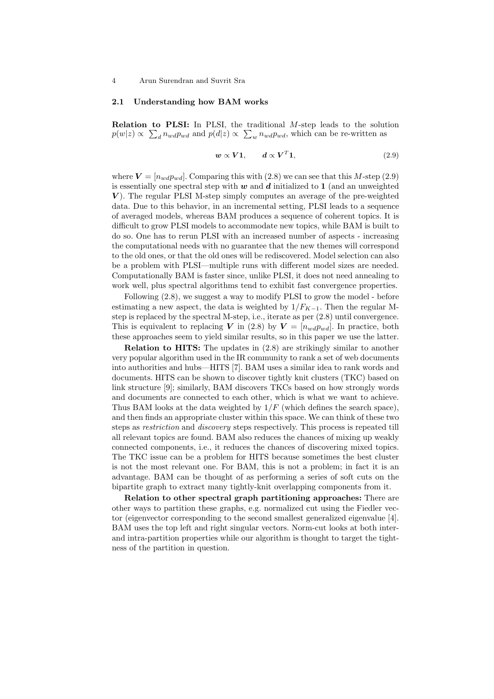4 Arun Surendran and Suvrit Sra

#### 2.1 Understanding how BAM works

Relation to PLSI: In PLSI, the traditional  $M$ -step leads to the solution  $p(w|z) \propto \sum_{d} n_{wd} p_{wd}$  and  $p(d|z) \propto \sum_{w} n_{wd} p_{wd}$ , which can be re-written as

$$
\mathbf{w} \propto \mathbf{V} \mathbf{1}, \qquad \mathbf{d} \propto \mathbf{V}^T \mathbf{1}, \tag{2.9}
$$

where  $V = [n_{wd}p_{wd}]$ . Comparing this with (2.8) we can see that this M-step (2.9) is essentially one spectral step with  $w$  and  $d$  initialized to 1 (and an unweighted  $V$ ). The regular PLSI M-step simply computes an average of the pre-weighted data. Due to this behavior, in an incremental setting, PLSI leads to a sequence of averaged models, whereas BAM produces a sequence of coherent topics. It is difficult to grow PLSI models to accommodate new topics, while BAM is built to do so. One has to rerun PLSI with an increased number of aspects - increasing the computational needs with no guarantee that the new themes will correspond to the old ones, or that the old ones will be rediscovered. Model selection can also be a problem with PLSI—multiple runs with different model sizes are needed. Computationally BAM is faster since, unlike PLSI, it does not need annealing to work well, plus spectral algorithms tend to exhibit fast convergence properties.

Following (2.8), we suggest a way to modify PLSI to grow the model - before estimating a new aspect, the data is weighted by  $1/F_{K-1}$ . Then the regular Mstep is replaced by the spectral M-step, i.e., iterate as per (2.8) until convergence. This is equivalent to replacing V in (2.8) by  $V = [n_{wd}p_{wd}]$ . In practice, both these approaches seem to yield similar results, so in this paper we use the latter.

Relation to HITS: The updates in (2.8) are strikingly similar to another very popular algorithm used in the IR community to rank a set of web documents into authorities and hubs—HITS [7]. BAM uses a similar idea to rank words and documents. HITS can be shown to discover tightly knit clusters (TKC) based on link structure [9]; similarly, BAM discovers TKCs based on how strongly words and documents are connected to each other, which is what we want to achieve. Thus BAM looks at the data weighted by  $1/F$  (which defines the search space), and then finds an appropriate cluster within this space. We can think of these two steps as restriction and discovery steps respectively. This process is repeated till all relevant topics are found. BAM also reduces the chances of mixing up weakly connected components, i.e., it reduces the chances of discovering mixed topics. The TKC issue can be a problem for HITS because sometimes the best cluster is not the most relevant one. For BAM, this is not a problem; in fact it is an advantage. BAM can be thought of as performing a series of soft cuts on the bipartite graph to extract many tightly-knit overlapping components from it.

Relation to other spectral graph partitioning approaches: There are other ways to partition these graphs, e.g. normalized cut using the Fiedler vector (eigenvector corresponding to the second smallest generalized eigenvalue [4]. BAM uses the top left and right singular vectors. Norm-cut looks at both interand intra-partition properties while our algorithm is thought to target the tightness of the partition in question.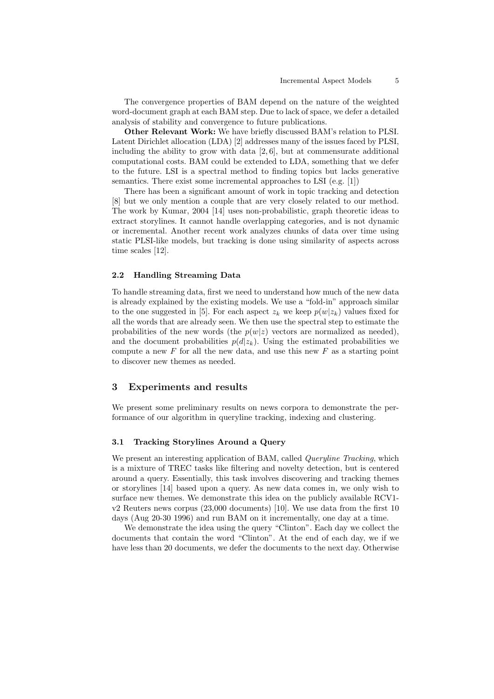The convergence properties of BAM depend on the nature of the weighted word-document graph at each BAM step. Due to lack of space, we defer a detailed analysis of stability and convergence to future publications.

Other Relevant Work: We have briefly discussed BAM's relation to PLSI. Latent Dirichlet allocation (LDA) [2] addresses many of the issues faced by PLSI, including the ability to grow with data  $[2, 6]$ , but at commensurate additional computational costs. BAM could be extended to LDA, something that we defer to the future. LSI is a spectral method to finding topics but lacks generative semantics. There exist some incremental approaches to LSI (e.g. [1])

There has been a significant amount of work in topic tracking and detection [8] but we only mention a couple that are very closely related to our method. The work by Kumar, 2004 [14] uses non-probabilistic, graph theoretic ideas to extract storylines. It cannot handle overlapping categories, and is not dynamic or incremental. Another recent work analyzes chunks of data over time using static PLSI-like models, but tracking is done using similarity of aspects across time scales [12].

#### 2.2 Handling Streaming Data

To handle streaming data, first we need to understand how much of the new data is already explained by the existing models. We use a "fold-in" approach similar to the one suggested in [5]. For each aspect  $z_k$  we keep  $p(w|z_k)$  values fixed for all the words that are already seen. We then use the spectral step to estimate the probabilities of the new words (the  $p(w|z)$  vectors are normalized as needed), and the document probabilities  $p(d|z_k)$ . Using the estimated probabilities we compute a new  $F$  for all the new data, and use this new  $F$  as a starting point to discover new themes as needed.

## 3 Experiments and results

We present some preliminary results on news corpora to demonstrate the performance of our algorithm in queryline tracking, indexing and clustering.

#### 3.1 Tracking Storylines Around a Query

We present an interesting application of BAM, called *Queryline Tracking*, which is a mixture of TREC tasks like filtering and novelty detection, but is centered around a query. Essentially, this task involves discovering and tracking themes or storylines [14] based upon a query. As new data comes in, we only wish to surface new themes. We demonstrate this idea on the publicly available RCV1 v2 Reuters news corpus (23,000 documents) [10]. We use data from the first 10 days (Aug 20-30 1996) and run BAM on it incrementally, one day at a time.

We demonstrate the idea using the query "Clinton". Each day we collect the documents that contain the word "Clinton". At the end of each day, we if we have less than 20 documents, we defer the documents to the next day. Otherwise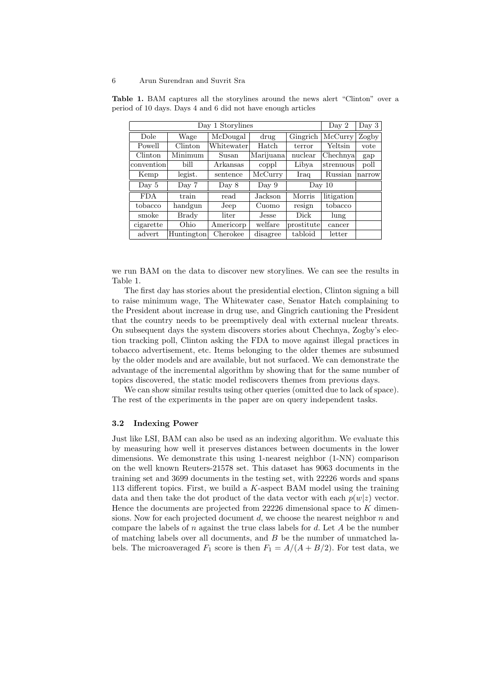#### 6 Arun Surendran and Suvrit Sra

|            | Day 2        | Day 3      |           |            |            |        |
|------------|--------------|------------|-----------|------------|------------|--------|
| Dole       | Wage         | McDougal   | drug      | Gingrich   | McCurry    | Zogby  |
| Powell     | Clinton      | Whitewater | Hatch     | terror     | Yeltsin    | vote   |
| Clinton    | Minimum      | Susan      | Marijuana | nuclear    | Chechnya   | gap    |
| convention | bill         | Arkansas   | coppl     | Libya      | strenuous  | poll   |
| Kemp       | legist.      | sentence   | McCurry   | Iraq       | Russian    | narrow |
|            |              |            |           |            |            |        |
| Day $5$    | Day 7        | Day 8      | Day 9     | Day $10$   |            |        |
| <b>FDA</b> | train        | read       | Jackson   | Morris     | litigation |        |
| tobacco    | handgun      | Jeep       | Cuomo     | resign     | tobacco    |        |
| smoke      | <b>Brady</b> | liter      | Jesse     | Dick       | lung       |        |
| cigarette  | Ohio         | Americorp  | welfare   | prostitute | cancer     |        |

Table 1. BAM captures all the storylines around the news alert "Clinton" over a period of 10 days. Days 4 and 6 did not have enough articles

we run BAM on the data to discover new storylines. We can see the results in Table 1.

The first day has stories about the presidential election, Clinton signing a bill to raise minimum wage, The Whitewater case, Senator Hatch complaining to the President about increase in drug use, and Gingrich cautioning the President that the country needs to be preemptively deal with external nuclear threats. On subsequent days the system discovers stories about Chechnya, Zogby's election tracking poll, Clinton asking the FDA to move against illegal practices in tobacco advertisement, etc. Items belonging to the older themes are subsumed by the older models and are available, but not surfaced. We can demonstrate the advantage of the incremental algorithm by showing that for the same number of topics discovered, the static model rediscovers themes from previous days.

We can show similar results using other queries (omitted due to lack of space). The rest of the experiments in the paper are on query independent tasks.

#### 3.2 Indexing Power

Just like LSI, BAM can also be used as an indexing algorithm. We evaluate this by measuring how well it preserves distances between documents in the lower dimensions. We demonstrate this using 1-nearest neighbor (1-NN) comparison on the well known Reuters-21578 set. This dataset has 9063 documents in the training set and 3699 documents in the testing set, with 22226 words and spans 113 different topics. First, we build a K-aspect BAM model using the training data and then take the dot product of the data vector with each  $p(w|z)$  vector. Hence the documents are projected from  $22226$  dimensional space to  $K$  dimensions. Now for each projected document  $d$ , we choose the nearest neighbor  $n$  and compare the labels of  $n$  against the true class labels for  $d$ . Let  $A$  be the number of matching labels over all documents, and  $B$  be the number of unmatched labels. The microaveraged  $F_1$  score is then  $F_1 = A/(A + B/2)$ . For test data, we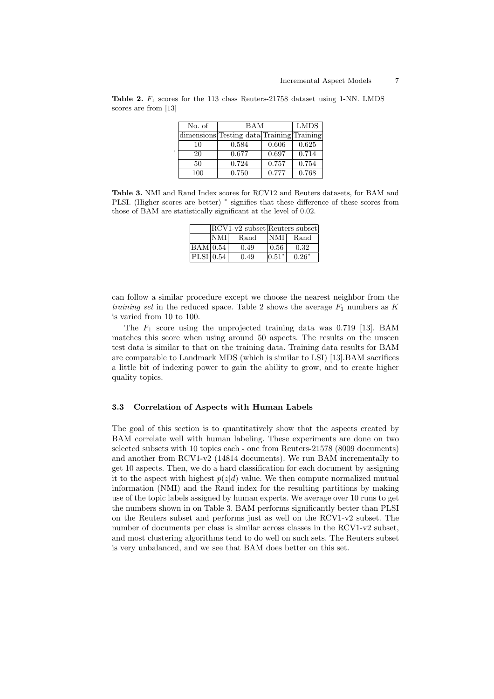|   | No. of | <b>BAM</b>                                |       | <b>LMDS</b> |
|---|--------|-------------------------------------------|-------|-------------|
|   |        | dimensions Testing data Training Training |       |             |
|   | 10     | 0.584                                     | 0.606 | 0.625       |
| ٠ | 20     | 0.677                                     | 0.697 | 0.714       |
|   | 50     | 0.724                                     | 0.757 | 0.754       |
|   | 100    | 0.750                                     | 0.777 | 0.768       |

Table 2.  $F_1$  scores for the 113 class Reuters-21758 dataset using 1-NN. LMDS scores are from [13]

Table 3. NMI and Rand Index scores for RCV12 and Reuters datasets, for BAM and PLSI. (Higher scores are better) \* signifies that these difference of these scores from those of BAM are statistically significant at the level of 0.02.

|                  | RCV1-v2 subset Reuters subset |      |          |         |  |
|------------------|-------------------------------|------|----------|---------|--|
|                  | <b>NMI</b>                    | Rand | NMI      | Rand    |  |
| <b>BAM</b>  0.54 |                               | 0.49 | 0.56     | 0.32    |  |
| PLSI 0.54        |                               | 0.49 | $ 0.51*$ | $0.26*$ |  |

can follow a similar procedure except we choose the nearest neighbor from the training set in the reduced space. Table 2 shows the average  $F_1$  numbers as K is varied from 10 to 100.

The  $F_1$  score using the unprojected training data was 0.719 [13]. BAM matches this score when using around 50 aspects. The results on the unseen test data is similar to that on the training data. Training data results for BAM are comparable to Landmark MDS (which is similar to LSI) [13].BAM sacrifices a little bit of indexing power to gain the ability to grow, and to create higher quality topics.

#### 3.3 Correlation of Aspects with Human Labels

The goal of this section is to quantitatively show that the aspects created by BAM correlate well with human labeling. These experiments are done on two selected subsets with 10 topics each - one from Reuters-21578 (8009 documents) and another from RCV1-v2 (14814 documents). We run BAM incrementally to get 10 aspects. Then, we do a hard classification for each document by assigning it to the aspect with highest  $p(z|d)$  value. We then compute normalized mutual information (NMI) and the Rand index for the resulting partitions by making use of the topic labels assigned by human experts. We average over 10 runs to get the numbers shown in on Table 3. BAM performs significantly better than PLSI on the Reuters subset and performs just as well on the RCV1-v2 subset. The number of documents per class is similar across classes in the RCV1-v2 subset, and most clustering algorithms tend to do well on such sets. The Reuters subset is very unbalanced, and we see that BAM does better on this set.